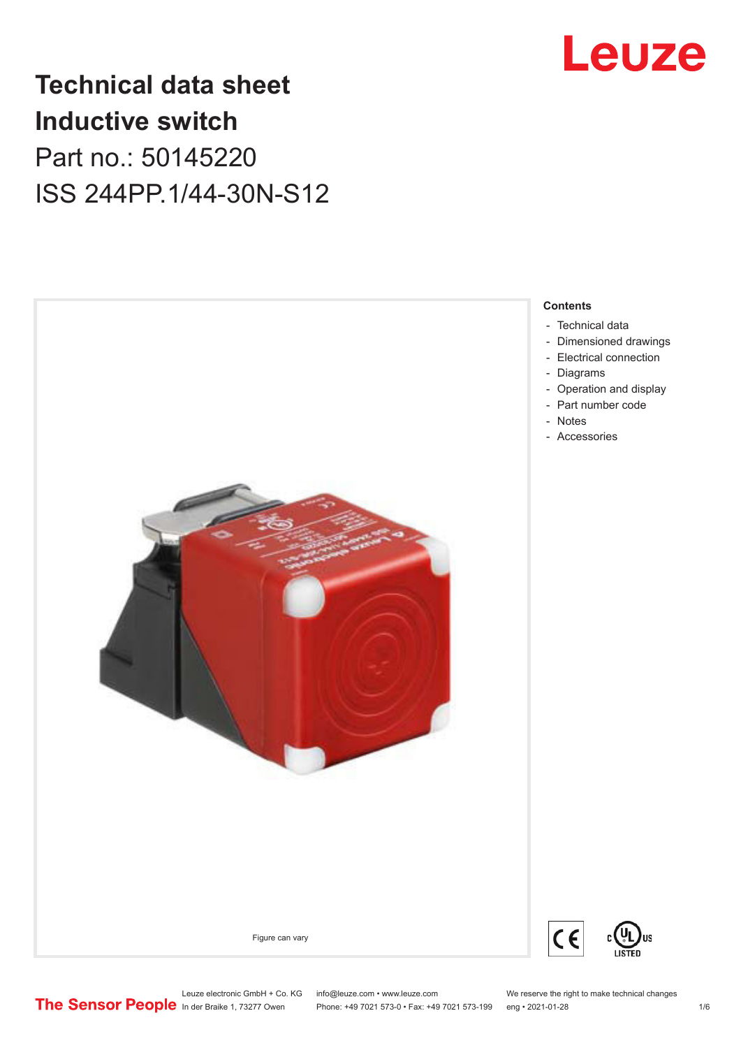

# **Technical data sheet Inductive switch** Part no.: 50145220 ISS 244PP.1/44-30N-S12



Phone: +49 7021 573-0 • Fax: +49 7021 573-199 eng • 2021-01-28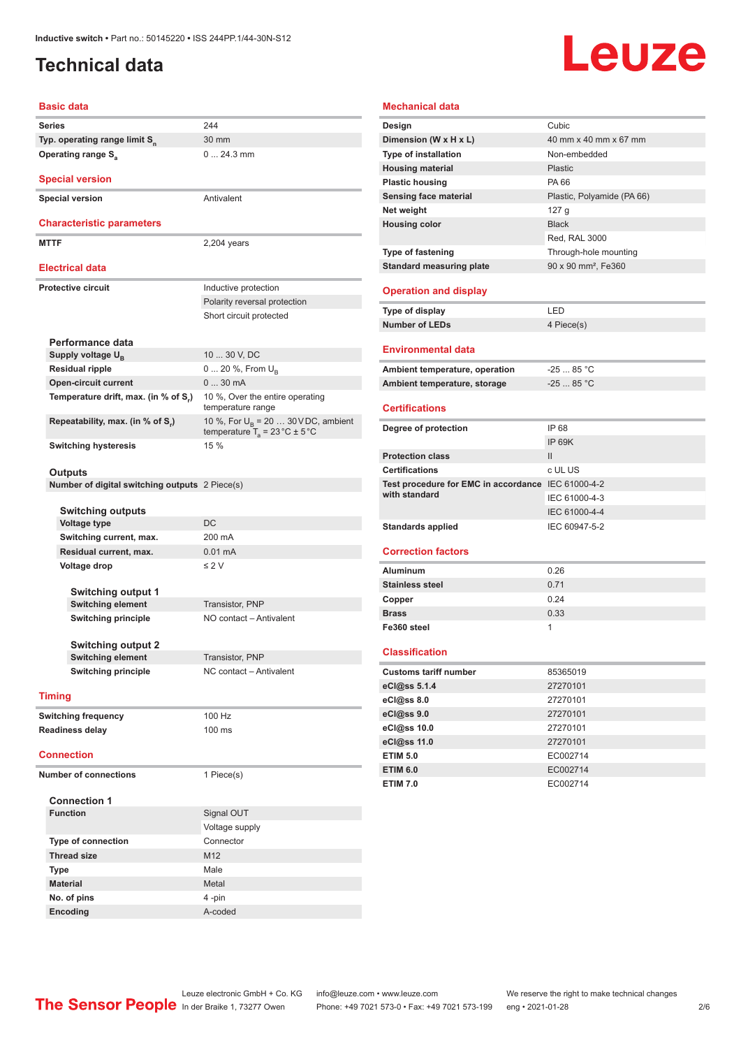# Leuze

<span id="page-1-0"></span>

| <b>Inductive switch • Part no.: 50145220 • ISS 244PP 1/44-30N-S12</b><br><b>Technical data</b> |                                                                                            |  |  |  |
|------------------------------------------------------------------------------------------------|--------------------------------------------------------------------------------------------|--|--|--|
| <b>Basic data</b>                                                                              |                                                                                            |  |  |  |
| <b>Series</b>                                                                                  | 244                                                                                        |  |  |  |
| Typ. operating range limit S <sub>n</sub>                                                      | 30 mm                                                                                      |  |  |  |
| <b>Operating range S</b> <sub>a</sub>                                                          | $024.3$ mm                                                                                 |  |  |  |
| <b>Special version</b>                                                                         |                                                                                            |  |  |  |
| <b>Special version</b>                                                                         | Antivalent                                                                                 |  |  |  |
| <b>Characteristic parameters</b>                                                               |                                                                                            |  |  |  |
| <b>MTTF</b>                                                                                    | 2,204 years                                                                                |  |  |  |
| <b>Electrical data</b>                                                                         |                                                                                            |  |  |  |
| <b>Protective circuit</b>                                                                      | Inductive protection                                                                       |  |  |  |
|                                                                                                | Polarity reversal protection                                                               |  |  |  |
|                                                                                                | Short circuit protected                                                                    |  |  |  |
| Performance data                                                                               |                                                                                            |  |  |  |
| Supply voltage U <sub>B</sub>                                                                  | 10  30 V, DC                                                                               |  |  |  |
| <b>Residual ripple</b>                                                                         | $0 20 \%$ , From $U_{\rm B}$                                                               |  |  |  |
| <b>Open-circuit current</b>                                                                    | 030mA                                                                                      |  |  |  |
| Temperature drift, max. (in % of S <sub>r</sub> )                                              | 10 %, Over the entire operating<br>temperature range                                       |  |  |  |
| Repeatability, max. (in % of S.)                                                               | 10 %, For $U_B$ = 20  30 V DC, ambient<br>temperature $T_a = 23 \degree C \pm 5 \degree C$ |  |  |  |
| <b>Switching hysteresis</b>                                                                    | 15 %                                                                                       |  |  |  |
| Outputs                                                                                        |                                                                                            |  |  |  |
| Number of digital switching outputs 2 Piece(s)                                                 |                                                                                            |  |  |  |
| <b>Switching outputs</b>                                                                       |                                                                                            |  |  |  |
| <b>Voltage type</b>                                                                            | DC                                                                                         |  |  |  |
| Switching current, max.                                                                        | 200 mA                                                                                     |  |  |  |
| Residual current, max.                                                                         | $0.01 \text{ mA}$                                                                          |  |  |  |
| Voltage drop                                                                                   | $\leq 2$ V                                                                                 |  |  |  |
| Switching output 1                                                                             |                                                                                            |  |  |  |
| <b>Switching element</b>                                                                       | Transistor, PNP                                                                            |  |  |  |
| <b>Switching principle</b>                                                                     | NO contact - Antivalent                                                                    |  |  |  |
| <b>Switching output 2</b>                                                                      |                                                                                            |  |  |  |
| <b>Switching element</b>                                                                       | Transistor, PNP                                                                            |  |  |  |
| <b>Switching principle</b>                                                                     | NC contact - Antivalent                                                                    |  |  |  |
| <b>Timing</b>                                                                                  |                                                                                            |  |  |  |
| <b>Switching frequency</b>                                                                     | 100 Hz                                                                                     |  |  |  |
| <b>Readiness delay</b>                                                                         | 100 ms                                                                                     |  |  |  |

|  | Sen        |
|--|------------|
|  | <b>Net</b> |
|  | Hou        |
|  |            |
|  | г.         |

| temperature range                                                           |
|-----------------------------------------------------------------------------|
| 10 %, For $U_p = 20$ 30 V DC, ambient<br>temperature $T_a = 23 °C \pm 5 °C$ |
| $15 \%$                                                                     |

| <b>Switching outputs</b>                      |                   |  |
|-----------------------------------------------|-------------------|--|
| <b>Voltage type</b>                           | DC.               |  |
| Switching current, max.                       | 200 mA            |  |
| Residual current, max.                        | $0.01 \text{ mA}$ |  |
| Voltage drop                                  | $\leq$ 2 V        |  |
|                                               |                   |  |
| Orang Maria La Santa La La Latina de La Maria |                   |  |

### **Connection**

| <b>Number of connections</b> | 1 Piece(s)      |
|------------------------------|-----------------|
| <b>Connection 1</b>          |                 |
| <b>Function</b>              | Signal OUT      |
|                              | Voltage supply  |
| <b>Type of connection</b>    | Connector       |
| <b>Thread size</b>           | M <sub>12</sub> |
| <b>Type</b>                  | Male            |
| <b>Material</b>              | Metal           |
| No. of pins                  | 4-pin           |
| Encoding                     | A-coded         |
|                              |                 |

# **Mechanical data**

| Design                                                              | Cubic                           |
|---------------------------------------------------------------------|---------------------------------|
| Dimension (W x H x L)                                               | 40 mm x 40 mm x 67 mm           |
| <b>Type of installation</b>                                         | Non-embedded                    |
| <b>Housing material</b>                                             | Plastic                         |
| <b>Plastic housing</b>                                              | PA 66                           |
| <b>Sensing face material</b>                                        | Plastic, Polyamide (PA 66)      |
| Net weight                                                          | 127 <sub>g</sub>                |
| <b>Housing color</b>                                                | <b>Black</b>                    |
|                                                                     | Red, RAL 3000                   |
| <b>Type of fastening</b>                                            | Through-hole mounting           |
| <b>Standard measuring plate</b>                                     | 90 x 90 mm <sup>2</sup> , Fe360 |
| <b>Operation and display</b>                                        |                                 |
| Type of display                                                     | LED                             |
| <b>Number of LEDs</b>                                               | 4 Piece(s)                      |
| <b>Environmental data</b>                                           |                                 |
| Ambient temperature, operation                                      | $-2585 °C$                      |
| Ambient temperature, storage                                        | $-2585 °C$                      |
|                                                                     |                                 |
| <b>Certifications</b>                                               |                                 |
| Degree of protection                                                | IP 68                           |
|                                                                     | <b>IP 69K</b>                   |
| <b>Protection class</b>                                             | $\mathbf{H}$                    |
| <b>Certifications</b>                                               | c UL US                         |
| Test procedure for EMC in accordance IEC 61000-4-2<br>with standard |                                 |
|                                                                     | IEC 61000-4-3                   |
|                                                                     | IEC 61000-4-4                   |
| <b>Standards applied</b>                                            | IEC 60947-5-2                   |
| <b>Correction factors</b>                                           |                                 |
| <b>Aluminum</b>                                                     | 0.26                            |
| <b>Stainless steel</b>                                              | 0.71                            |
| Copper                                                              | 0.24                            |
| <b>Brass</b>                                                        | 0.33                            |
| Fe360 steel                                                         | 1                               |
| <b>Classification</b>                                               |                                 |
| <b>Customs tariff number</b>                                        | 85365019                        |
| eCl@ss 5.1.4                                                        | 27270101                        |
| eCl@ss 8.0                                                          | 27270101                        |
| eCl@ss 9.0                                                          | 27270101                        |
| eCl@ss 10.0                                                         | 27270101                        |
| eCl@ss 11.0                                                         | 27270101                        |
| <b>ETIM 5.0</b>                                                     | EC002714                        |
| <b>ETIM 6.0</b>                                                     | EC002714                        |
| <b>ETIM 7.0</b>                                                     | EC002714                        |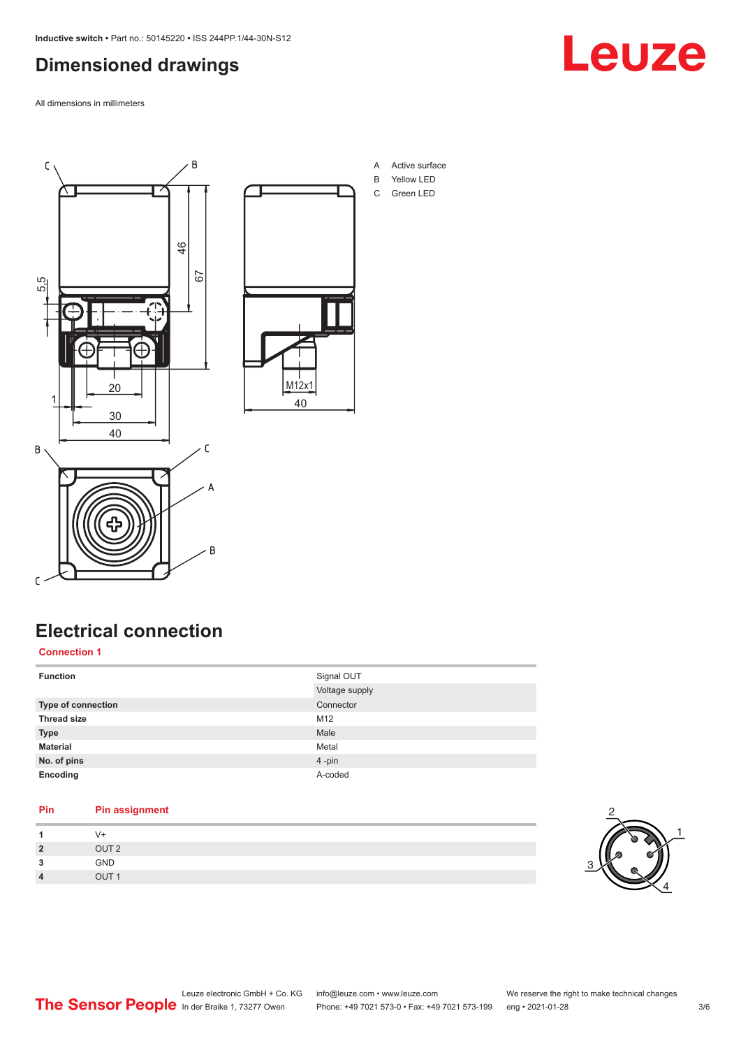# <span id="page-2-0"></span>**Dimensioned drawings**

All dimensions in millimeters







- A Active surface
- B Yellow LED C Green LED
- 

# **Electrical connection**

### **Connection 1**

| <b>Function</b>           | Signal OUT     |
|---------------------------|----------------|
|                           | Voltage supply |
| <b>Type of connection</b> | Connector      |
| <b>Thread size</b>        | M12            |
| <b>Type</b>               | Male           |
| <b>Material</b>           | Metal          |
| No. of pins               | 4-pin          |
| Encoding                  | A-coded        |

### **Pin Pin assignment 1** V+ **2** OUT 2 **3** GND **4** OUT 1

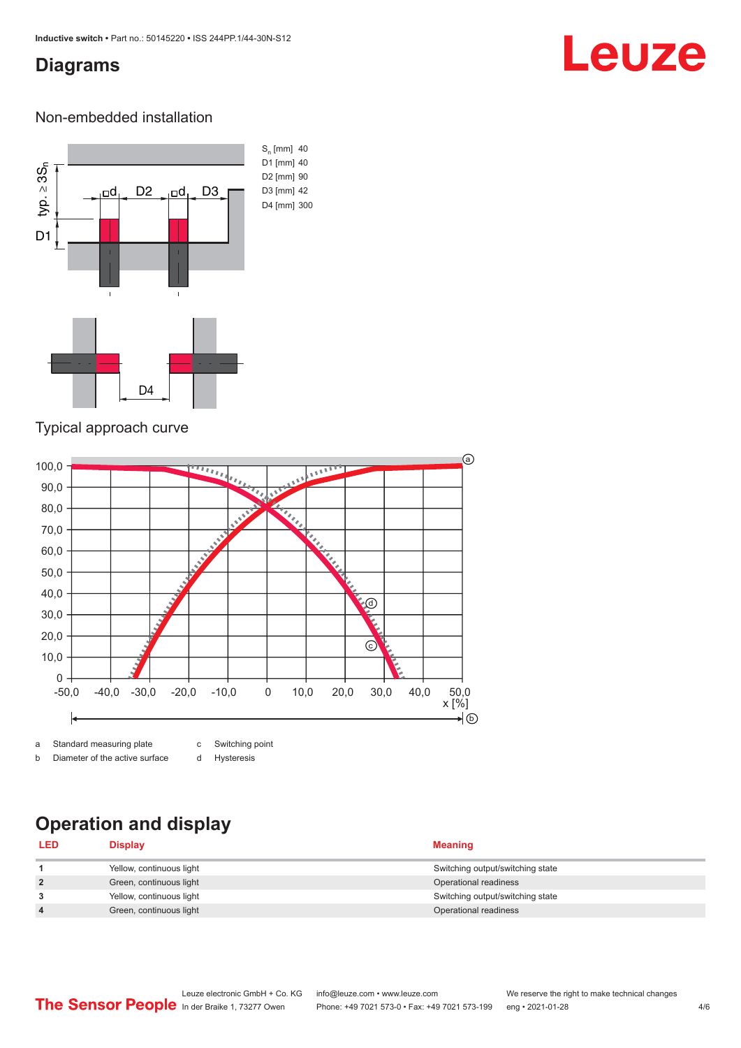# <span id="page-3-0"></span>**Diagrams**

# Leuze

### Non-embedded installation



### Typical approach curve



b Diameter of the active surface

d Hysteresis

# **Operation and display**

| <b>LED</b>     | Display                  | <b>Meaning</b>                   |
|----------------|--------------------------|----------------------------------|
|                | Yellow, continuous light | Switching output/switching state |
| $\overline{2}$ | Green, continuous light  | Operational readiness            |
| 3              | Yellow, continuous light | Switching output/switching state |
| 4              | Green, continuous light  | Operational readiness            |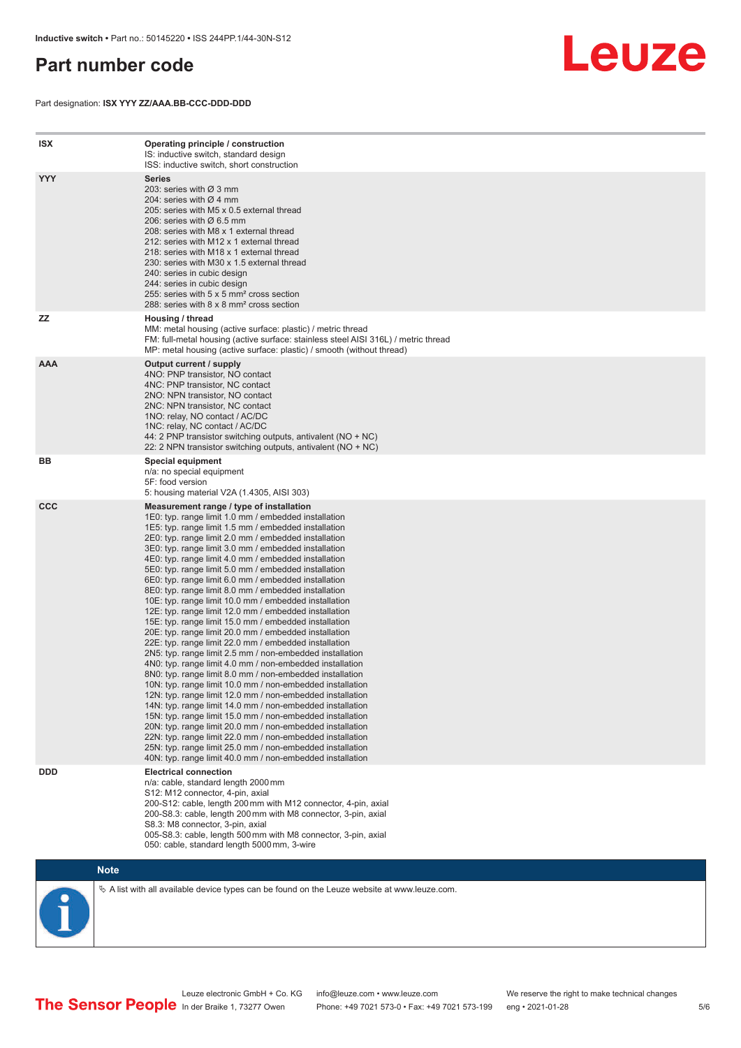# <span id="page-4-0"></span>**Part number code**

Part designation: **ISX YYY ZZ/AAA.BB-CCC-DDD-DDD**



| <b>ISX</b> | Operating principle / construction<br>IS: inductive switch, standard design<br>ISS: inductive switch, short construction                                                                                                                                                                                                                                                                                                                                                                                                                                                                                                                                                                                                                                                                                                                                                                                                                                                                                                                                                                                                                                                                                                                                                                                                                                                                                                                                                                          |
|------------|---------------------------------------------------------------------------------------------------------------------------------------------------------------------------------------------------------------------------------------------------------------------------------------------------------------------------------------------------------------------------------------------------------------------------------------------------------------------------------------------------------------------------------------------------------------------------------------------------------------------------------------------------------------------------------------------------------------------------------------------------------------------------------------------------------------------------------------------------------------------------------------------------------------------------------------------------------------------------------------------------------------------------------------------------------------------------------------------------------------------------------------------------------------------------------------------------------------------------------------------------------------------------------------------------------------------------------------------------------------------------------------------------------------------------------------------------------------------------------------------------|
| <b>YYY</b> | <b>Series</b><br>203: series with Ø 3 mm<br>204: series with Ø 4 mm<br>205: series with M5 x 0.5 external thread<br>206: series with $\varnothing$ 6.5 mm<br>208: series with M8 x 1 external thread<br>212: series with M12 x 1 external thread<br>218: series with M18 x 1 external thread<br>230: series with M30 x 1.5 external thread<br>240: series in cubic design<br>244: series in cubic design<br>255: series with 5 x 5 mm <sup>2</sup> cross section<br>288: series with 8 x 8 mm <sup>2</sup> cross section                                                                                                                                                                                                                                                                                                                                                                                                                                                                                                                                                                                                                                                                                                                                                                                                                                                                                                                                                                          |
| <b>ZZ</b>  | Housing / thread<br>MM: metal housing (active surface: plastic) / metric thread<br>FM: full-metal housing (active surface: stainless steel AISI 316L) / metric thread<br>MP: metal housing (active surface: plastic) / smooth (without thread)                                                                                                                                                                                                                                                                                                                                                                                                                                                                                                                                                                                                                                                                                                                                                                                                                                                                                                                                                                                                                                                                                                                                                                                                                                                    |
| <b>AAA</b> | Output current / supply<br>4NO: PNP transistor, NO contact<br>4NC: PNP transistor, NC contact<br>2NO: NPN transistor, NO contact<br>2NC: NPN transistor, NC contact<br>1NO: relay, NO contact / AC/DC<br>1NC: relay, NC contact / AC/DC<br>44: 2 PNP transistor switching outputs, antivalent (NO + NC)<br>22: 2 NPN transistor switching outputs, antivalent (NO + NC)                                                                                                                                                                                                                                                                                                                                                                                                                                                                                                                                                                                                                                                                                                                                                                                                                                                                                                                                                                                                                                                                                                                           |
| BB         | <b>Special equipment</b><br>n/a: no special equipment<br>5F: food version<br>5: housing material V2A (1.4305, AISI 303)                                                                                                                                                                                                                                                                                                                                                                                                                                                                                                                                                                                                                                                                                                                                                                                                                                                                                                                                                                                                                                                                                                                                                                                                                                                                                                                                                                           |
| <b>CCC</b> | Measurement range / type of installation<br>1E0: typ. range limit 1.0 mm / embedded installation<br>1E5: typ. range limit 1.5 mm / embedded installation<br>2E0: typ. range limit 2.0 mm / embedded installation<br>3E0: typ. range limit 3.0 mm / embedded installation<br>4E0: typ. range limit 4.0 mm / embedded installation<br>5E0: typ. range limit 5.0 mm / embedded installation<br>6E0: typ. range limit 6.0 mm / embedded installation<br>8E0: typ. range limit 8.0 mm / embedded installation<br>10E: typ. range limit 10.0 mm / embedded installation<br>12E: typ. range limit 12.0 mm / embedded installation<br>15E: typ. range limit 15.0 mm / embedded installation<br>20E: typ. range limit 20.0 mm / embedded installation<br>22E: typ. range limit 22.0 mm / embedded installation<br>2N5: typ. range limit 2.5 mm / non-embedded installation<br>4N0: typ. range limit 4.0 mm / non-embedded installation<br>8N0: typ. range limit 8.0 mm / non-embedded installation<br>10N: typ. range limit 10.0 mm / non-embedded installation<br>12N: typ. range limit 12.0 mm / non-embedded installation<br>14N: typ. range limit 14.0 mm / non-embedded installation<br>15N: typ. range limit 15.0 mm / non-embedded installation<br>20N: typ. range limit 20.0 mm / non-embedded installation<br>22N: typ. range limit 22.0 mm / non-embedded installation<br>25N: typ. range limit 25.0 mm / non-embedded installation<br>40N: typ. range limit 40.0 mm / non-embedded installation |
| <b>DDD</b> | <b>Electrical connection</b><br>n/a: cable, standard length 2000 mm<br>S12: M12 connector, 4-pin, axial<br>200-S12: cable, length 200 mm with M12 connector, 4-pin, axial<br>200-S8.3: cable, length 200 mm with M8 connector, 3-pin, axial<br>S8.3: M8 connector, 3-pin, axial<br>005-S8.3: cable, length 500 mm with M8 connector, 3-pin, axial<br>050: cable, standard length 5000 mm, 3-wire                                                                                                                                                                                                                                                                                                                                                                                                                                                                                                                                                                                                                                                                                                                                                                                                                                                                                                                                                                                                                                                                                                  |



 $\%$  A list with all available device types can be found on the Leuze website at www.leuze.com.

Leuze electronic GmbH + Co. KG info@leuze.com • www.leuze.com We reserve the right to make technical changes In der Braike 1, 73277 Owen Phone: +49 7021 573-0 • Fax: +49 7021 573-199 eng • 2021-01-28